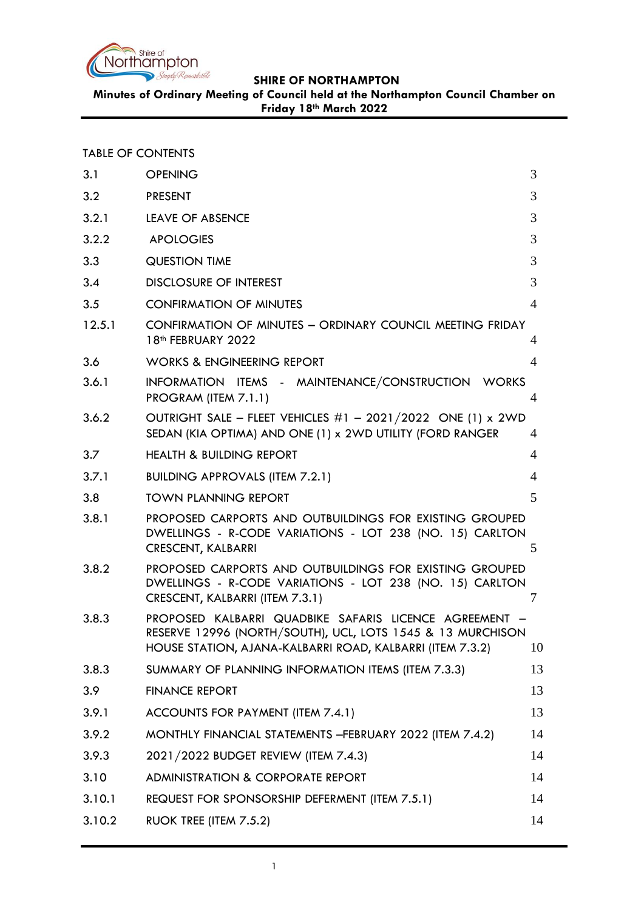

**Minutes of Ordinary Meeting of Council held at the Northampton Council Chamber on Friday 18th March 2022**

TABLE OF CONTENTS

| 3.1    | <b>OPENING</b>                                                                                                                                                                    | 3              |
|--------|-----------------------------------------------------------------------------------------------------------------------------------------------------------------------------------|----------------|
| 3.2    | <b>PRESENT</b>                                                                                                                                                                    | 3              |
| 3.2.1  | LEAVE OF ABSENCE                                                                                                                                                                  | 3              |
| 3.2.2  | <b>APOLOGIES</b>                                                                                                                                                                  | 3              |
| 3.3    | <b>QUESTION TIME</b>                                                                                                                                                              | 3              |
| 3.4    | <b>DISCLOSURE OF INTEREST</b>                                                                                                                                                     | 3              |
| 3.5    | <b>CONFIRMATION OF MINUTES</b>                                                                                                                                                    | $\overline{4}$ |
| 12.5.1 | CONFIRMATION OF MINUTES - ORDINARY COUNCIL MEETING FRIDAY<br>18 <sup>th</sup> FEBRUARY 2022                                                                                       | 4              |
| 3.6    | <b>WORKS &amp; ENGINEERING REPORT</b>                                                                                                                                             | 4              |
| 3.6.1  | INFORMATION ITEMS - MAINTENANCE/CONSTRUCTION WORKS<br>PROGRAM (ITEM 7.1.1)                                                                                                        | $\overline{4}$ |
| 3.6.2  | OUTRIGHT SALE - FLEET VEHICLES #1 - 2021/2022 ONE (1) x 2WD<br>SEDAN (KIA OPTIMA) AND ONE (1) x 2WD UTILITY (FORD RANGER                                                          | 4              |
| 3.7    | <b>HEALTH &amp; BUILDING REPORT</b>                                                                                                                                               | 4              |
| 3.7.1  | <b>BUILDING APPROVALS (ITEM 7.2.1)</b>                                                                                                                                            | $\overline{4}$ |
| 3.8    | <b>TOWN PLANNING REPORT</b>                                                                                                                                                       | 5              |
| 3.8.1  | PROPOSED CARPORTS AND OUTBUILDINGS FOR EXISTING GROUPED<br>DWELLINGS - R-CODE VARIATIONS - LOT 238 (NO. 15) CARLTON<br><b>CRESCENT, KALBARRI</b>                                  | 5              |
| 3.8.2  | PROPOSED CARPORTS AND OUTBUILDINGS FOR EXISTING GROUPED<br>DWELLINGS - R-CODE VARIATIONS - LOT 238 (NO. 15) CARLTON<br>CRESCENT, KALBARRI (ITEM 7.3.1)                            | 7              |
| 3.8.3  | PROPOSED KALBARRI QUADBIKE SAFARIS LICENCE AGREEMENT -<br>RESERVE 12996 (NORTH/SOUTH), UCL, LOTS 1545 & 13 MURCHISON<br>HOUSE STATION, AJANA-KALBARRI ROAD, KALBARRI (ITEM 7.3.2) | 10             |
| 3.8.3  | SUMMARY OF PLANNING INFORMATION ITEMS (ITEM 7.3.3)                                                                                                                                | 13             |
| 3.9    | <b>FINANCE REPORT</b>                                                                                                                                                             | 13             |
| 3.9.1  | ACCOUNTS FOR PAYMENT (ITEM 7.4.1)                                                                                                                                                 | 13             |
| 3.9.2  | MONTHLY FINANCIAL STATEMENTS - FEBRUARY 2022 (ITEM 7.4.2)                                                                                                                         | 14             |
| 3.9.3  | 2021/2022 BUDGET REVIEW (ITEM 7.4.3)                                                                                                                                              | 14             |
| 3.10   | <b>ADMINISTRATION &amp; CORPORATE REPORT</b>                                                                                                                                      | 14             |
| 3.10.1 | REQUEST FOR SPONSORSHIP DEFERMENT (ITEM 7.5.1)                                                                                                                                    | 14             |
| 3.10.2 | RUOK TREE (ITEM 7.5.2)                                                                                                                                                            | 14             |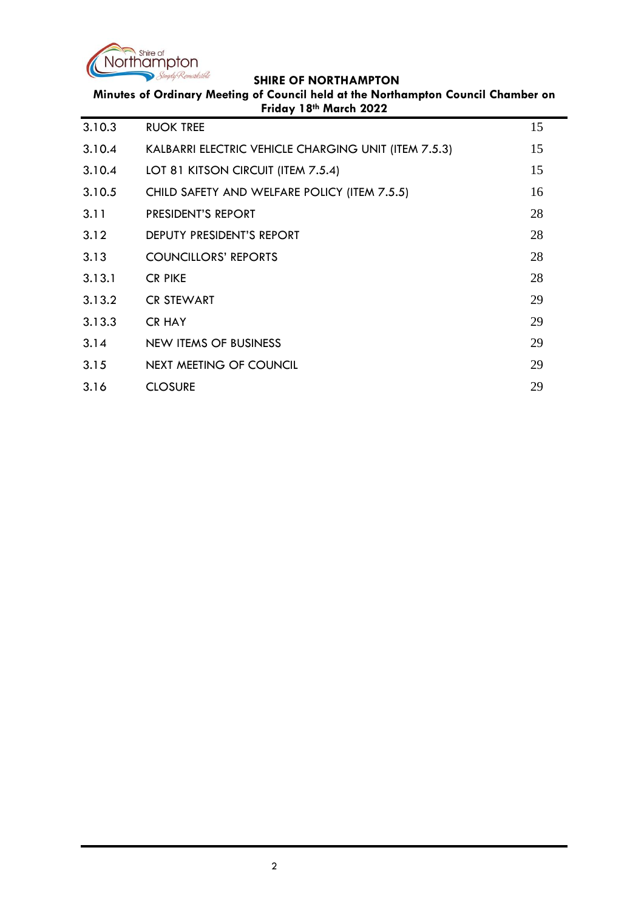

| Minutes of Ordinary Meeting of Council held at the Northampton Council Chamber on<br>Friday 18th March 2022 |                                                      |    |
|-------------------------------------------------------------------------------------------------------------|------------------------------------------------------|----|
| 3.10.3                                                                                                      | <b>RUOK TREE</b>                                     | 15 |
| 3.10.4                                                                                                      | KALBARRI ELECTRIC VEHICLE CHARGING UNIT (ITEM 7.5.3) | 15 |
| 3.10.4                                                                                                      | LOT 81 KITSON CIRCUIT (ITEM 7.5.4)                   | 15 |
| 3.10.5                                                                                                      | CHILD SAFETY AND WELFARE POLICY (ITEM 7.5.5)         | 16 |
| 3.11                                                                                                        | PRESIDENT'S REPORT                                   | 28 |
| 3.12                                                                                                        | DEPUTY PRESIDENT'S REPORT                            | 28 |
| 3.13                                                                                                        | <b>COUNCILLORS' REPORTS</b>                          | 28 |
| 3.13.1                                                                                                      | <b>CR PIKE</b>                                       | 28 |
| 3.13.2                                                                                                      | <b>CR STEWART</b>                                    | 29 |
| 3.13.3                                                                                                      | <b>CR HAY</b>                                        | 29 |
| 3.14                                                                                                        | NEW ITEMS OF BUSINESS                                | 29 |
| 3.15                                                                                                        | NEXT MEETING OF COUNCIL                              | 29 |
| 3.16                                                                                                        | <b>CLOSURE</b>                                       | 29 |
|                                                                                                             |                                                      |    |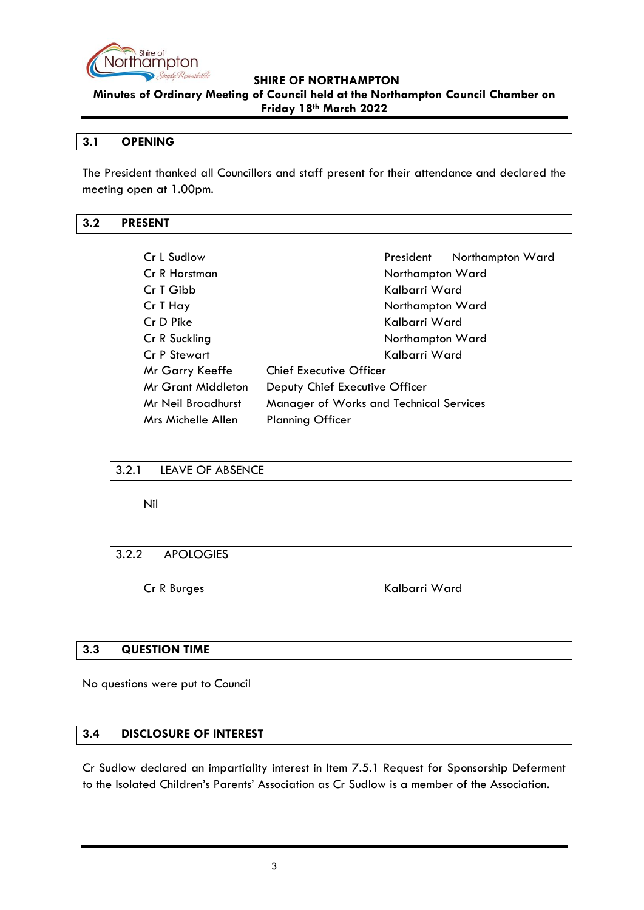

**Minutes of Ordinary Meeting of Council held at the Northampton Council Chamber on Friday 18th March 2022**

#### <span id="page-2-0"></span>**3.1 OPENING**

The President thanked all Councillors and staff present for their attendance and declared the meeting open at 1.00pm.

# <span id="page-2-1"></span>**3.2 PRESENT**

| Cr L Sudlow        | Northampton Ward<br>President                  |
|--------------------|------------------------------------------------|
| Cr R Horstman      | Northampton Ward                               |
| Cr T Gibb          | Kalbarri Ward                                  |
| Cr T Hay           | Northampton Ward                               |
| Cr D Pike          | Kalbarri Ward                                  |
| Cr R Suckling      | Northampton Ward                               |
| Cr P Stewart       | Kalbarri Ward                                  |
| Mr Garry Keeffe    | <b>Chief Executive Officer</b>                 |
| Mr Grant Middleton | Deputy Chief Executive Officer                 |
| Mr Neil Broadhurst | <b>Manager of Works and Technical Services</b> |
| Mrs Michelle Allen | <b>Planning Officer</b>                        |

# <span id="page-2-2"></span>3.2.1 LEAVE OF ABSENCE

Nil

# <span id="page-2-3"></span>3.2.2 APOLOGIES

Cr R Burges Kalbarri Ward

# <span id="page-2-4"></span>**3.3 QUESTION TIME**

No questions were put to Council

#### <span id="page-2-5"></span>**3.4 DISCLOSURE OF INTEREST**

Cr Sudlow declared an impartiality interest in Item 7.5.1 Request for Sponsorship Deferment to the Isolated Children's Parents' Association as Cr Sudlow is a member of the Association.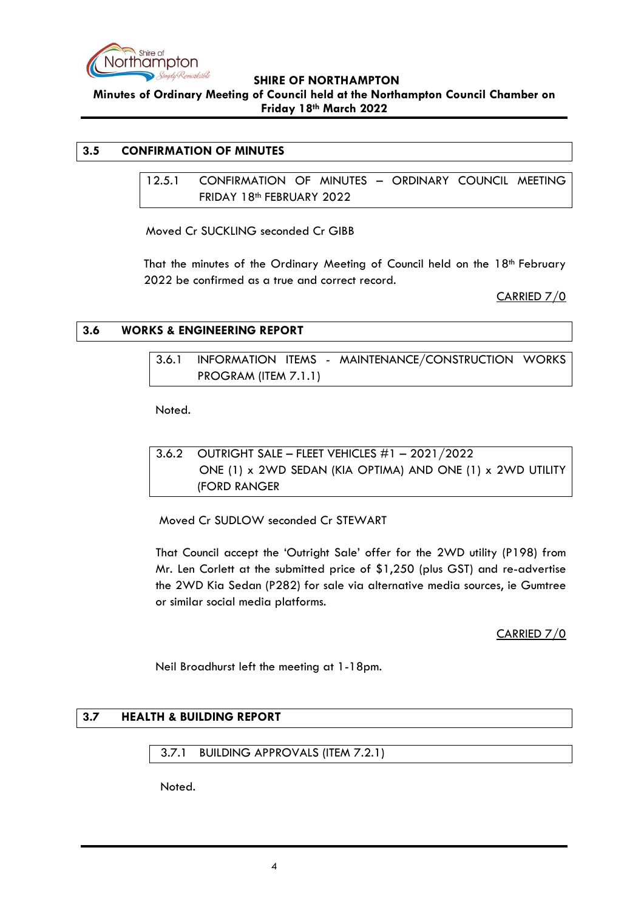

**Minutes of Ordinary Meeting of Council held at the Northampton Council Chamber on Friday 18th March 2022**

# <span id="page-3-1"></span><span id="page-3-0"></span>**3.5 CONFIRMATION OF MINUTES**

12.5.1 CONFIRMATION OF MINUTES – ORDINARY COUNCIL MEETING FRIDAY 18th FEBRUARY 2022

Moved Cr SUCKLING seconded Cr GIBB

That the minutes of the Ordinary Meeting of Council held on the 18<sup>th</sup> February 2022 be confirmed as a true and correct record.

CARRIED 7/0

# <span id="page-3-3"></span><span id="page-3-2"></span>**3.6 WORKS & ENGINEERING REPORT**

3.6.1 INFORMATION ITEMS - MAINTENANCE/CONSTRUCTION WORKS PROGRAM (ITEM 7.1.1)

Noted.

<span id="page-3-4"></span>3.6.2 OUTRIGHT SALE – FLEET VEHICLES #1 – 2021/2022 ONE (1) x 2WD SEDAN (KIA OPTIMA) AND ONE (1) x 2WD UTILITY (FORD RANGER

Moved Cr SUDLOW seconded Cr STEWART

That Council accept the 'Outright Sale' offer for the 2WD utility (P198) from Mr. Len Corlett at the submitted price of \$1,250 (plus GST) and re-advertise the 2WD Kia Sedan (P282) for sale via alternative media sources, ie Gumtree or similar social media platforms.

CARRIED 7/0

Neil Broadhurst left the meeting at 1-18pm.

# <span id="page-3-5"></span>**3.7 HEALTH & BUILDING REPORT**

<span id="page-3-6"></span>3.7.1 BUILDING APPROVALS (ITEM 7.2.1)

Noted.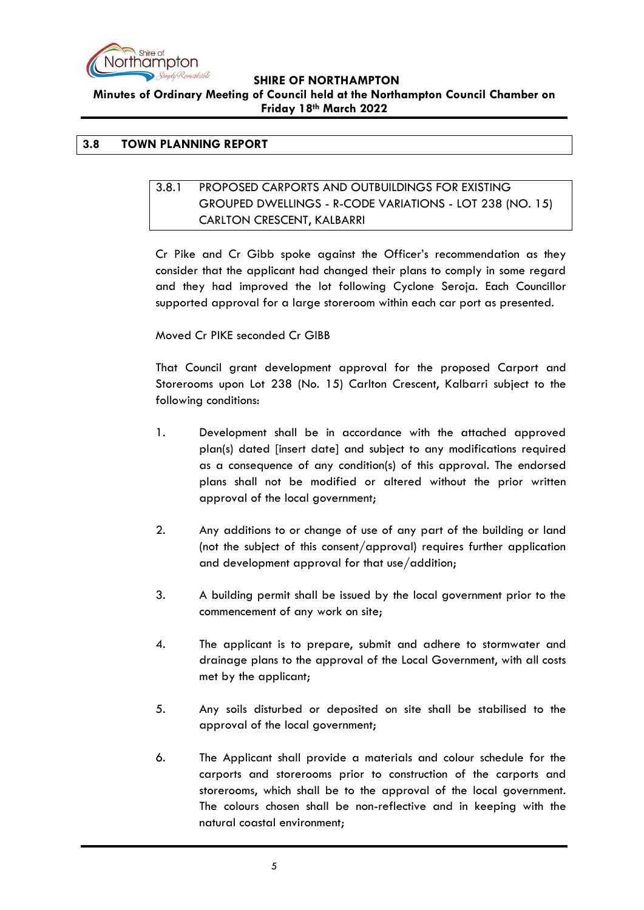

**Minutes of Ordinary Meeting of Council held at the Northampton Council Chamber on Friday 18th March 2022**

## <span id="page-4-1"></span><span id="page-4-0"></span>**3.8 TOWN PLANNING REPORT**

# 3.8.1 PROPOSED CARPORTS AND OUTBUILDINGS FOR EXISTING GROUPED DWELLINGS - R-CODE VARIATIONS - LOT 238 (NO. 15) CARLTON CRESCENT, KALBARRI

Cr Pike and Cr Gibb spoke against the Officer's recommendation as they consider that the applicant had changed their plans to comply in some regard and they had improved the lot following Cyclone Seroja. Each Councillor supported approval for a large storeroom within each car port as presented.

Moved Cr PIKE seconded Cr GIBB

That Council grant development approval for the proposed Carport and Storerooms upon Lot 238 (No. 15) Carlton Crescent, Kalbarri subject to the following conditions:

- 1. Development shall be in accordance with the attached approved plan(s) dated [insert date] and subject to any modifications required as a consequence of any condition(s) of this approval. The endorsed plans shall not be modified or altered without the prior written approval of the local government;
- 2. Any additions to or change of use of any part of the building or land (not the subject of this consent/approval) requires further application and development approval for that use/addition;
- 3. A building permit shall be issued by the local government prior to the commencement of any work on site;
- 4. The applicant is to prepare, submit and adhere to stormwater and drainage plans to the approval of the Local Government, with all costs met by the applicant;
- 5. Any soils disturbed or deposited on site shall be stabilised to the approval of the local government;
- 6. The Applicant shall provide a materials and colour schedule for the carports and storerooms prior to construction of the carports and storerooms, which shall be to the approval of the local government. The colours chosen shall be non-reflective and in keeping with the natural coastal environment;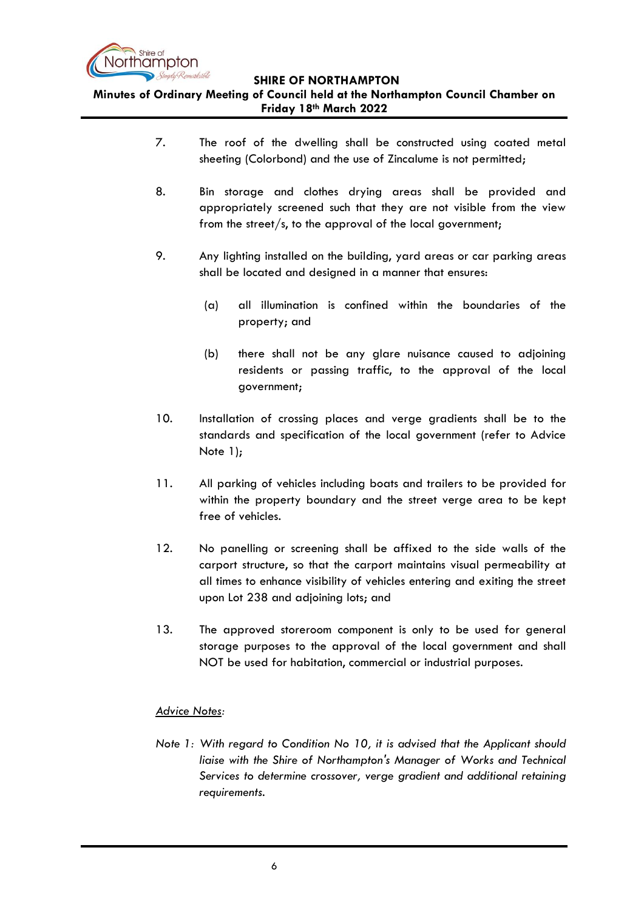

**Minutes of Ordinary Meeting of Council held at the Northampton Council Chamber on Friday 18th March 2022**

- 7. The roof of the dwelling shall be constructed using coated metal sheeting (Colorbond) and the use of Zincalume is not permitted;
- 8. Bin storage and clothes drying areas shall be provided and appropriately screened such that they are not visible from the view from the street/s, to the approval of the local government;
- 9. Any lighting installed on the building, yard areas or car parking areas shall be located and designed in a manner that ensures:
	- (a) all illumination is confined within the boundaries of the property; and
	- (b) there shall not be any glare nuisance caused to adjoining residents or passing traffic, to the approval of the local government;
- 10. Installation of crossing places and verge gradients shall be to the standards and specification of the local government (refer to Advice Note 1);
- 11. All parking of vehicles including boats and trailers to be provided for within the property boundary and the street verge area to be kept free of vehicles.
- 12. No panelling or screening shall be affixed to the side walls of the carport structure, so that the carport maintains visual permeability at all times to enhance visibility of vehicles entering and exiting the street upon Lot 238 and adjoining lots; and
- 13. The approved storeroom component is only to be used for general storage purposes to the approval of the local government and shall NOT be used for habitation, commercial or industrial purposes.

# *Advice Notes:*

*Note 1: With regard to Condition No 10, it is advised that the Applicant should liaise with the Shire of Northampton's Manager of Works and Technical Services to determine crossover, verge gradient and additional retaining requirements.*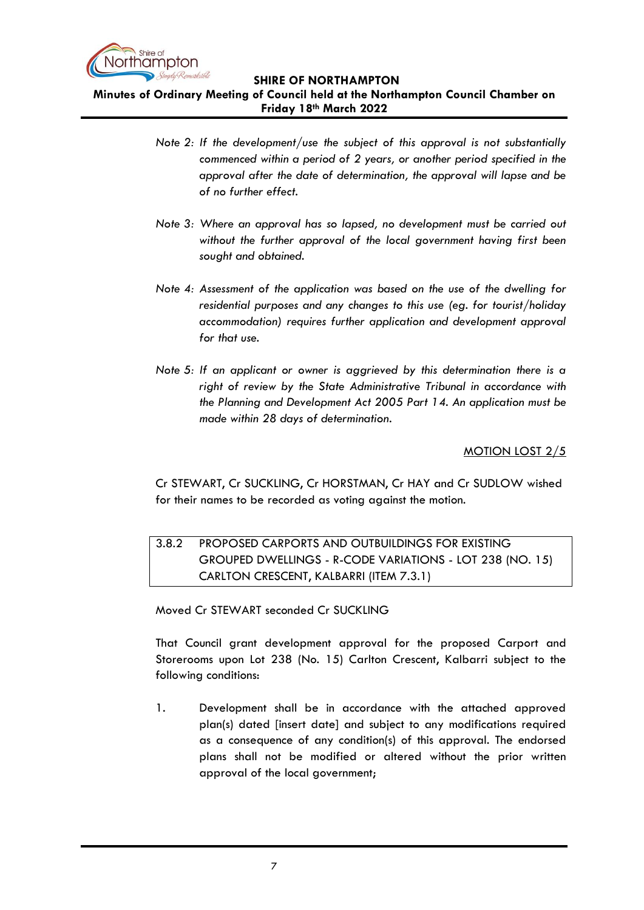

**Minutes of Ordinary Meeting of Council held at the Northampton Council Chamber on Friday 18th March 2022**

- *Note 2: If the development/use the subject of this approval is not substantially commenced within a period of 2 years, or another period specified in the approval after the date of determination, the approval will lapse and be of no further effect.*
- *Note 3: Where an approval has so lapsed, no development must be carried out without the further approval of the local government having first been sought and obtained.*
- *Note 4: Assessment of the application was based on the use of the dwelling for residential purposes and any changes to this use (eg. for tourist/holiday accommodation) requires further application and development approval for that use.*
- *Note 5: If an applicant or owner is aggrieved by this determination there is a right of review by the State Administrative Tribunal in accordance with the Planning and Development Act 2005 Part 14. An application must be made within 28 days of determination.*

MOTION LOST 2/5

Cr STEWART, Cr SUCKLING, Cr HORSTMAN, Cr HAY and Cr SUDLOW wished for their names to be recorded as voting against the motion.

# <span id="page-6-0"></span>3.8.2 PROPOSED CARPORTS AND OUTBUILDINGS FOR EXISTING GROUPED DWELLINGS - R-CODE VARIATIONS - LOT 238 (NO. 15) CARLTON CRESCENT, KALBARRI (ITEM 7.3.1)

Moved Cr STEWART seconded Cr SUCKLING

That Council grant development approval for the proposed Carport and Storerooms upon Lot 238 (No. 15) Carlton Crescent, Kalbarri subject to the following conditions:

1. Development shall be in accordance with the attached approved plan(s) dated [insert date] and subject to any modifications required as a consequence of any condition(s) of this approval. The endorsed plans shall not be modified or altered without the prior written approval of the local government;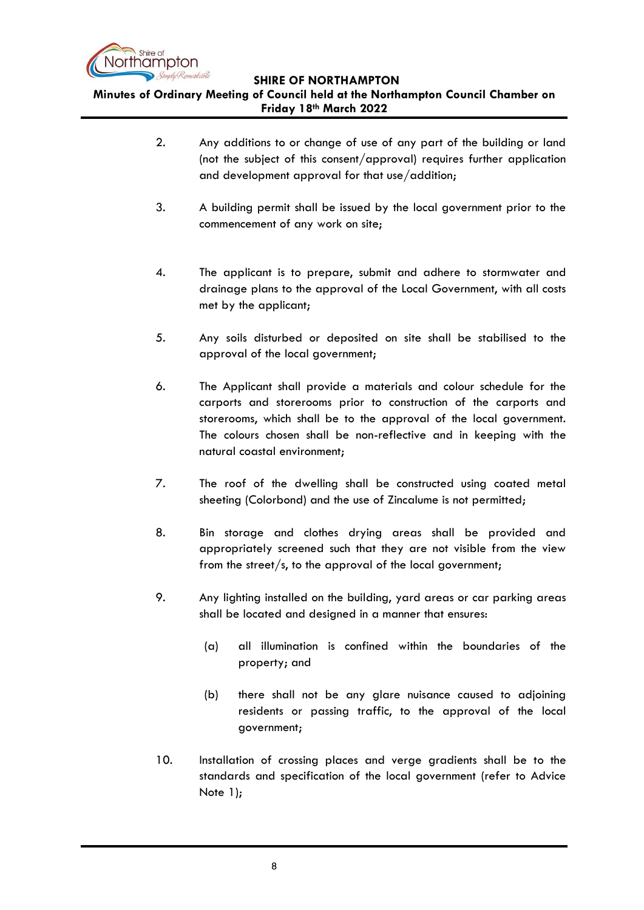

**Minutes of Ordinary Meeting of Council held at the Northampton Council Chamber on Friday 18th March 2022**

- 2. Any additions to or change of use of any part of the building or land (not the subject of this consent/approval) requires further application and development approval for that use/addition;
- 3. A building permit shall be issued by the local government prior to the commencement of any work on site;
- 4. The applicant is to prepare, submit and adhere to stormwater and drainage plans to the approval of the Local Government, with all costs met by the applicant;
- 5. Any soils disturbed or deposited on site shall be stabilised to the approval of the local government;
- 6. The Applicant shall provide a materials and colour schedule for the carports and storerooms prior to construction of the carports and storerooms, which shall be to the approval of the local government. The colours chosen shall be non-reflective and in keeping with the natural coastal environment;
- 7. The roof of the dwelling shall be constructed using coated metal sheeting (Colorbond) and the use of Zincalume is not permitted;
- 8. Bin storage and clothes drying areas shall be provided and appropriately screened such that they are not visible from the view from the street/s, to the approval of the local government;
- 9. Any lighting installed on the building, yard areas or car parking areas shall be located and designed in a manner that ensures:
	- (a) all illumination is confined within the boundaries of the property; and
	- (b) there shall not be any glare nuisance caused to adjoining residents or passing traffic, to the approval of the local government;
- 10. Installation of crossing places and verge gradients shall be to the standards and specification of the local government (refer to Advice Note 1);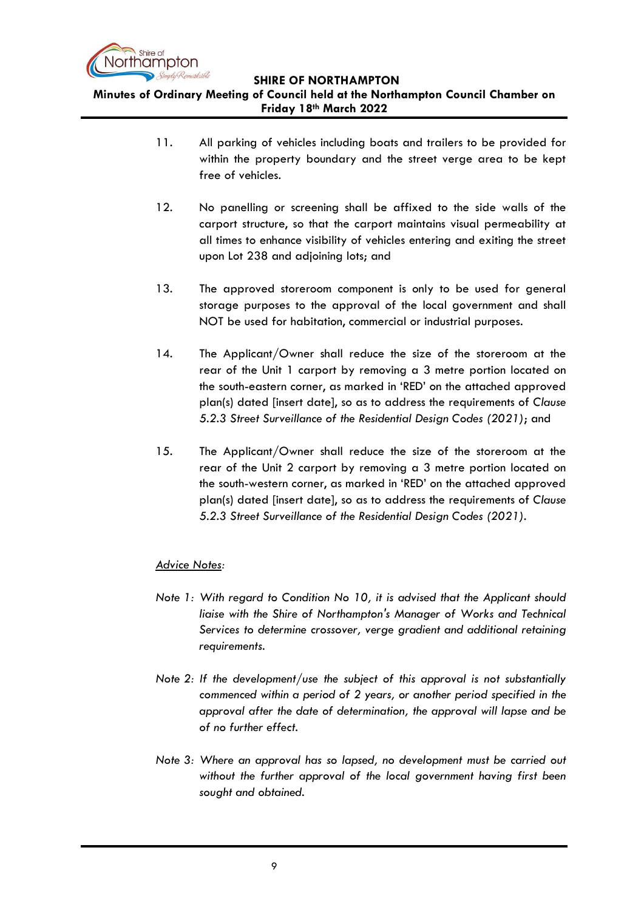

**Minutes of Ordinary Meeting of Council held at the Northampton Council Chamber on Friday 18th March 2022**

- 11. All parking of vehicles including boats and trailers to be provided for within the property boundary and the street verge area to be kept free of vehicles.
- 12. No panelling or screening shall be affixed to the side walls of the carport structure, so that the carport maintains visual permeability at all times to enhance visibility of vehicles entering and exiting the street upon Lot 238 and adjoining lots; and
- 13. The approved storeroom component is only to be used for general storage purposes to the approval of the local government and shall NOT be used for habitation, commercial or industrial purposes.
- 14. The Applicant/Owner shall reduce the size of the storeroom at the rear of the Unit 1 carport by removing a 3 metre portion located on the south-eastern corner, as marked in 'RED' on the attached approved plan(s) dated [insert date], so as to address the requirements of *Clause 5.2.3 Street Surveillance of the Residential Design Codes (2021)*; and
- 15. The Applicant/Owner shall reduce the size of the storeroom at the rear of the Unit 2 carport by removing a 3 metre portion located on the south-western corner, as marked in 'RED' on the attached approved plan(s) dated [insert date], so as to address the requirements of *Clause 5.2.3 Street Surveillance of the Residential Design Codes (2021)*.

# *Advice Notes:*

- *Note 1: With regard to Condition No 10, it is advised that the Applicant should liaise with the Shire of Northampton's Manager of Works and Technical Services to determine crossover, verge gradient and additional retaining requirements.*
- *Note 2: If the development/use the subject of this approval is not substantially commenced within a period of 2 years, or another period specified in the approval after the date of determination, the approval will lapse and be of no further effect.*
- *Note 3: Where an approval has so lapsed, no development must be carried out without the further approval of the local government having first been sought and obtained.*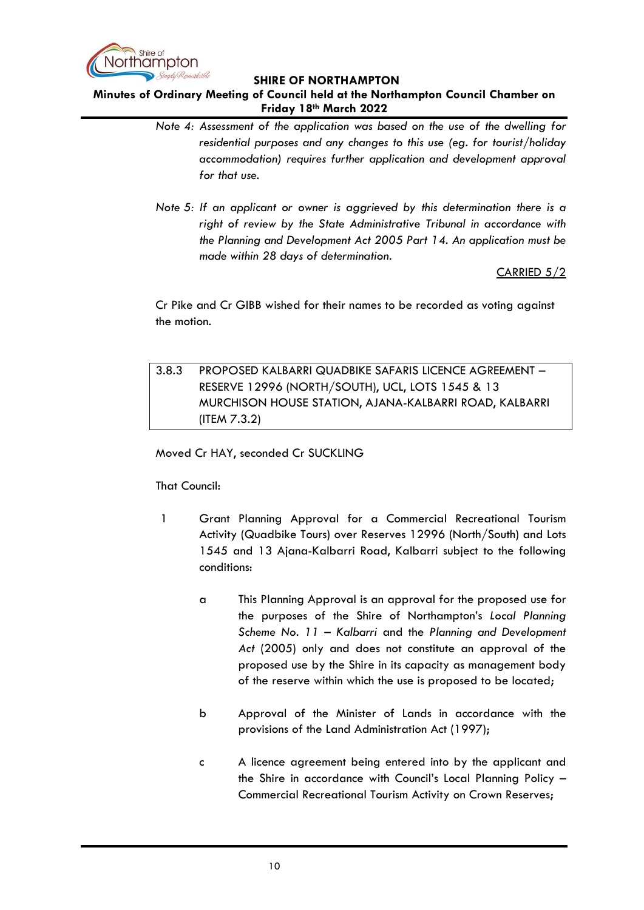

# **Minutes of Ordinary Meeting of Council held at the Northampton Council Chamber on Friday 18th March 2022**

- *Note 4: Assessment of the application was based on the use of the dwelling for residential purposes and any changes to this use (eg. for tourist/holiday accommodation) requires further application and development approval for that use.*
- *Note 5: If an applicant or owner is aggrieved by this determination there is a right of review by the State Administrative Tribunal in accordance with the Planning and Development Act 2005 Part 14. An application must be made within 28 days of determination.*

CARRIED 5/2

Cr Pike and Cr GIBB wished for their names to be recorded as voting against the motion.

<span id="page-9-0"></span>3.8.3 PROPOSED KALBARRI QUADBIKE SAFARIS LICENCE AGREEMENT – RESERVE 12996 (NORTH/SOUTH), UCL, LOTS 1545 & 13 MURCHISON HOUSE STATION, AJANA-KALBARRI ROAD, KALBARRI (ITEM 7.3.2)

Moved Cr HAY, seconded Cr SUCKLING

That Council:

- 1 Grant Planning Approval for a Commercial Recreational Tourism Activity (Quadbike Tours) over Reserves 12996 (North/South) and Lots 1545 and 13 Ajana-Kalbarri Road, Kalbarri subject to the following conditions:
	- a This Planning Approval is an approval for the proposed use for the purposes of the Shire of Northampton's *Local Planning Scheme No. 11 – Kalbarri* and the *Planning and Development Act* (2005) only and does not constitute an approval of the proposed use by the Shire in its capacity as management body of the reserve within which the use is proposed to be located;
	- b Approval of the Minister of Lands in accordance with the provisions of the Land Administration Act (1997);
	- c A licence agreement being entered into by the applicant and the Shire in accordance with Council's Local Planning Policy – Commercial Recreational Tourism Activity on Crown Reserves;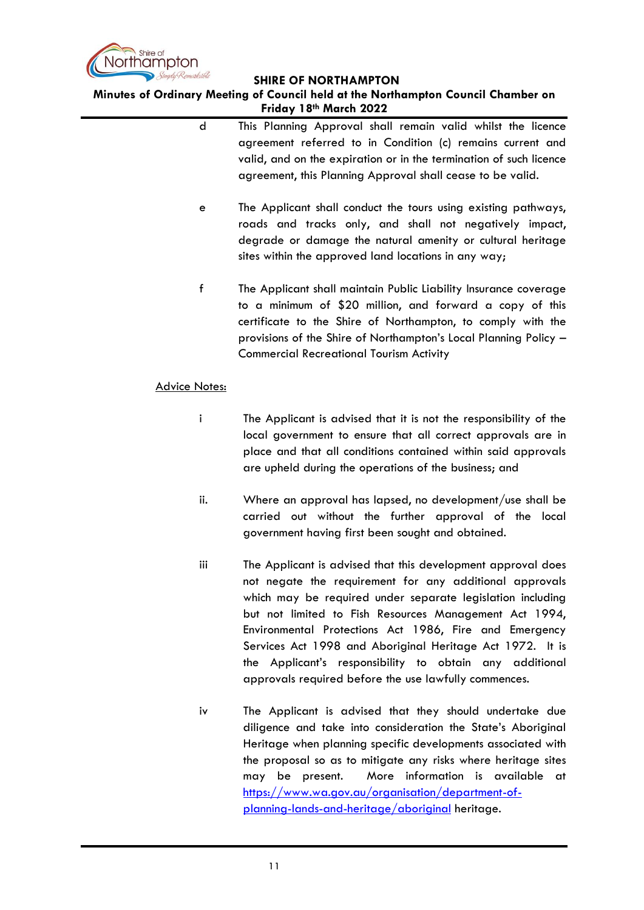

**Minutes of Ordinary Meeting of Council held at the Northampton Council Chamber on Friday 18th March 2022**

- d This Planning Approval shall remain valid whilst the licence agreement referred to in Condition (c) remains current and valid, and on the expiration or in the termination of such licence agreement, this Planning Approval shall cease to be valid.
- e The Applicant shall conduct the tours using existing pathways, roads and tracks only, and shall not negatively impact, degrade or damage the natural amenity or cultural heritage sites within the approved land locations in any way;
- f The Applicant shall maintain Public Liability Insurance coverage to a minimum of \$20 million, and forward a copy of this certificate to the Shire of Northampton, to comply with the provisions of the Shire of Northampton's Local Planning Policy – Commercial Recreational Tourism Activity

#### Advice Notes:

- i The Applicant is advised that it is not the responsibility of the local government to ensure that all correct approvals are in place and that all conditions contained within said approvals are upheld during the operations of the business; and
- ii. Where an approval has lapsed, no development/use shall be carried out without the further approval of the local government having first been sought and obtained.
- iii The Applicant is advised that this development approval does not negate the requirement for any additional approvals which may be required under separate legislation including but not limited to Fish Resources Management Act 1994, Environmental Protections Act 1986, Fire and Emergency Services Act 1998 and Aboriginal Heritage Act 1972. It is the Applicant's responsibility to obtain any additional approvals required before the use lawfully commences.
- iv The Applicant is advised that they should undertake due diligence and take into consideration the State's Aboriginal Heritage when planning specific developments associated with the proposal so as to mitigate any risks where heritage sites may be present. More information is available at [https://www.wa.gov.au/organisation/department-of](https://www.wa.gov.au/organisation/department-of-planning-lands-and-heritage/aboriginal)[planning-lands-and-heritage/aboriginal](https://www.wa.gov.au/organisation/department-of-planning-lands-and-heritage/aboriginal) heritage.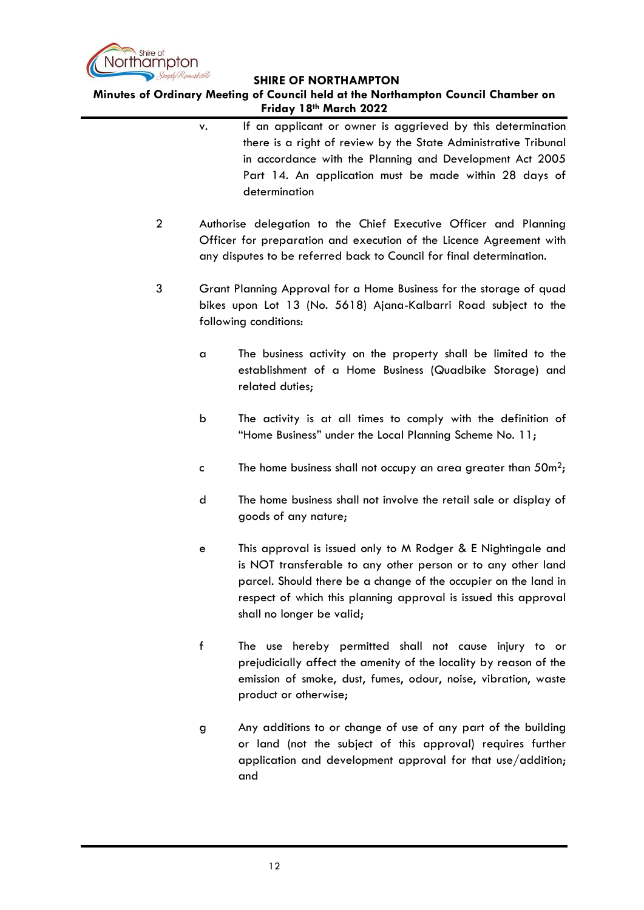

**Minutes of Ordinary Meeting of Council held at the Northampton Council Chamber on Friday 18th March 2022**

- v. If an applicant or owner is aggrieved by this determination there is a right of review by the State Administrative Tribunal in accordance with the Planning and Development Act 2005 Part 14. An application must be made within 28 days of determination
- 2 Authorise delegation to the Chief Executive Officer and Planning Officer for preparation and execution of the Licence Agreement with any disputes to be referred back to Council for final determination.
- 3 Grant Planning Approval for a Home Business for the storage of quad bikes upon Lot 13 (No. 5618) Ajana-Kalbarri Road subject to the following conditions:
	- a The business activity on the property shall be limited to the establishment of a Home Business (Quadbike Storage) and related duties;
	- b The activity is at all times to comply with the definition of "Home Business" under the Local Planning Scheme No. 11;
	- c The home business shall not occupy an area greater than  $50m^2$ ;
	- d The home business shall not involve the retail sale or display of goods of any nature;
	- e This approval is issued only to M Rodger & E Nightingale and is NOT transferable to any other person or to any other land parcel. Should there be a change of the occupier on the land in respect of which this planning approval is issued this approval shall no longer be valid;
	- f The use hereby permitted shall not cause injury to or prejudicially affect the amenity of the locality by reason of the emission of smoke, dust, fumes, odour, noise, vibration, waste product or otherwise;
	- g Any additions to or change of use of any part of the building or land (not the subject of this approval) requires further application and development approval for that use/addition; and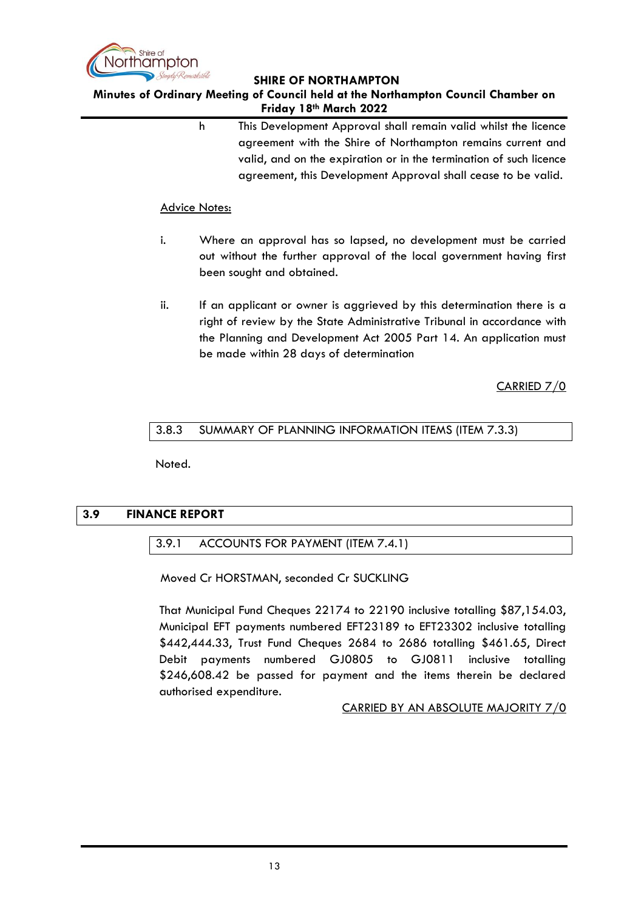

### **Minutes of Ordinary Meeting of Council held at the Northampton Council Chamber on Friday 18th March 2022**

h This Development Approval shall remain valid whilst the licence agreement with the Shire of Northampton remains current and valid, and on the expiration or in the termination of such licence agreement, this Development Approval shall cease to be valid.

#### Advice Notes:

- i. Where an approval has so lapsed, no development must be carried out without the further approval of the local government having first been sought and obtained.
- ii. If an applicant or owner is aggrieved by this determination there is a right of review by the State Administrative Tribunal in accordance with the Planning and Development Act 2005 Part 14. An application must be made within 28 days of determination

CARRIED 7/0

# <span id="page-12-0"></span>3.8.3 SUMMARY OF PLANNING INFORMATION ITEMS (ITEM 7.3.3)

Noted.

# <span id="page-12-2"></span><span id="page-12-1"></span>**3.9 FINANCE REPORT**

# 3.9.1 ACCOUNTS FOR PAYMENT (ITEM 7.4.1)

Moved Cr HORSTMAN, seconded Cr SUCKLING

That Municipal Fund Cheques 22174 to 22190 inclusive totalling \$87,154.03, Municipal EFT payments numbered EFT23189 to EFT23302 inclusive totalling \$442,444.33, Trust Fund Cheques 2684 to 2686 totalling \$461.65, Direct Debit payments numbered GJ0805 to GJ0811 inclusive totalling \$246,608.42 be passed for payment and the items therein be declared authorised expenditure.

#### CARRIED BY AN ABSOLUTE MAJORITY 7/0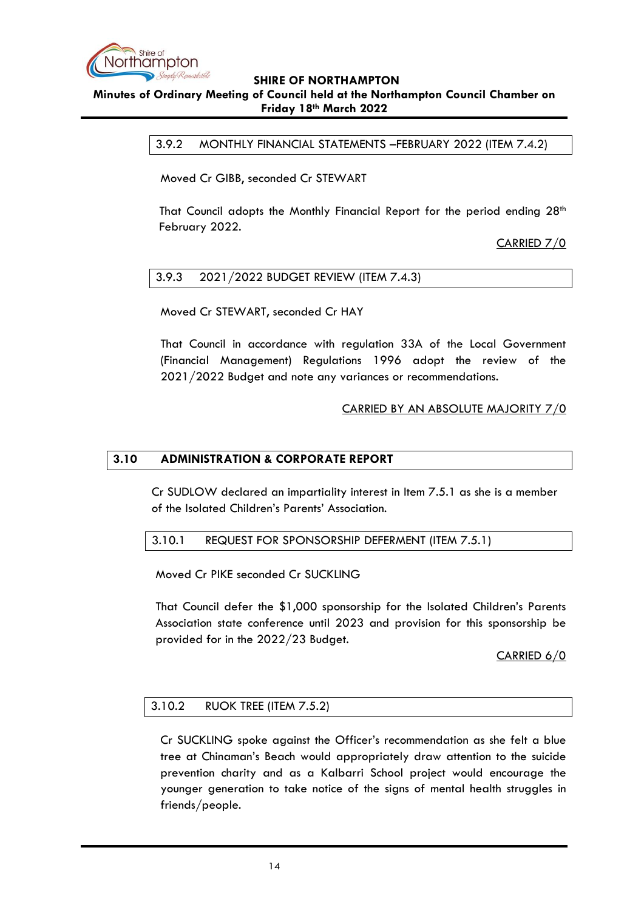

#### <span id="page-13-0"></span>**Minutes of Ordinary Meeting of Council held at the Northampton Council Chamber on Friday 18th March 2022**

3.9.2 MONTHLY FINANCIAL STATEMENTS –FEBRUARY 2022 (ITEM 7.4.2)

Moved Cr GIBB, seconded Cr STEWART

That Council adopts the Monthly Financial Report for the period ending  $28<sup>th</sup>$ February 2022.

CARRIED 7/0

#### <span id="page-13-1"></span>3.9.3 2021/2022 BUDGET REVIEW (ITEM 7.4.3)

Moved Cr STEWART, seconded Cr HAY

That Council in accordance with regulation 33A of the Local Government (Financial Management) Regulations 1996 adopt the review of the 2021/2022 Budget and note any variances or recommendations.

#### CARRIED BY AN ABSOLUTE MAJORITY 7/0

## <span id="page-13-2"></span>**3.10 ADMINISTRATION & CORPORATE REPORT**

Cr SUDLOW declared an impartiality interest in Item 7.5.1 as she is a member of the Isolated Children's Parents' Association.

#### <span id="page-13-3"></span>3.10.1 REQUEST FOR SPONSORSHIP DEFERMENT (ITEM 7.5.1)

Moved Cr PIKE seconded Cr SUCKLING

That Council defer the \$1,000 sponsorship for the Isolated Children's Parents Association state conference until 2023 and provision for this sponsorship be provided for in the 2022/23 Budget.

#### CARRIED 6/0

#### <span id="page-13-4"></span>3.10.2 RUOK TREE (ITEM 7.5.2)

Cr SUCKLING spoke against the Officer's recommendation as she felt a blue tree at Chinaman's Beach would appropriately draw attention to the suicide prevention charity and as a Kalbarri School project would encourage the younger generation to take notice of the signs of mental health struggles in friends/people.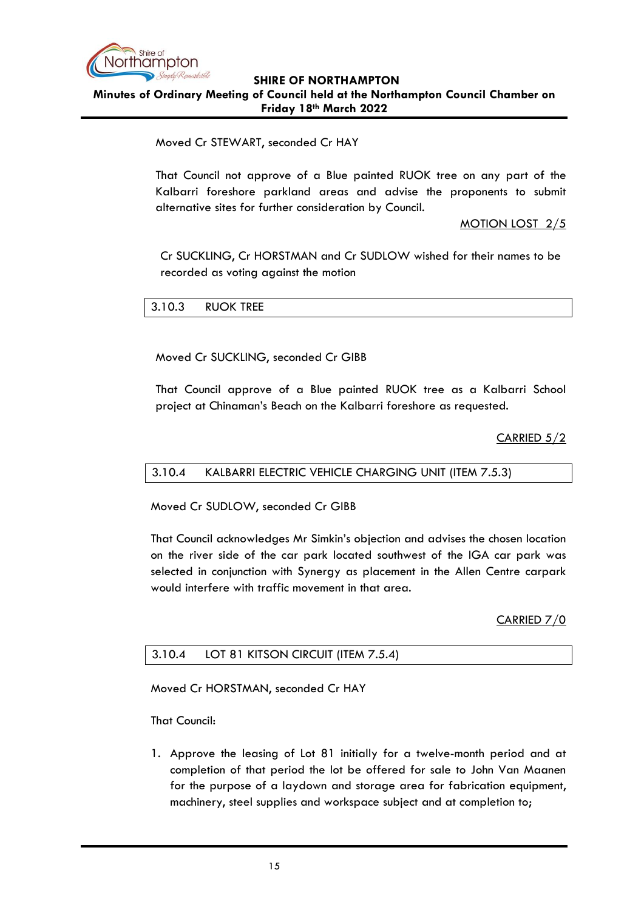

#### **SHIRE OF NORTHAMPTON Minutes of Ordinary Meeting of Council held at the Northampton Council Chamber on Friday 18th March 2022**

# Moved Cr STEWART, seconded Cr HAY

That Council not approve of a Blue painted RUOK tree on any part of the Kalbarri foreshore parkland areas and advise the proponents to submit alternative sites for further consideration by Council.

## MOTION LOST 2/5

Cr SUCKLING, Cr HORSTMAN and Cr SUDLOW wished for their names to be recorded as voting against the motion

# <span id="page-14-0"></span>3.10.3 RUOK TREE

Moved Cr SUCKLING, seconded Cr GIBB

That Council approve of a Blue painted RUOK tree as a Kalbarri School project at Chinaman's Beach on the Kalbarri foreshore as requested.

CARRIED 5/2

#### <span id="page-14-1"></span>3.10.4 KALBARRI ELECTRIC VEHICLE CHARGING UNIT (ITEM 7.5.3)

Moved Cr SUDLOW, seconded Cr GIBB

That Council acknowledges Mr Simkin's objection and advises the chosen location on the river side of the car park located southwest of the IGA car park was selected in conjunction with Synergy as placement in the Allen Centre carpark would interfere with traffic movement in that area.

CARRIED 7/0

# <span id="page-14-2"></span>3.10.4 LOT 81 KITSON CIRCUIT (ITEM 7.5.4)

Moved Cr HORSTMAN, seconded Cr HAY

That Council:

1. Approve the leasing of Lot 81 initially for a twelve-month period and at completion of that period the lot be offered for sale to John Van Maanen for the purpose of a laydown and storage area for fabrication equipment, machinery, steel supplies and workspace subject and at completion to;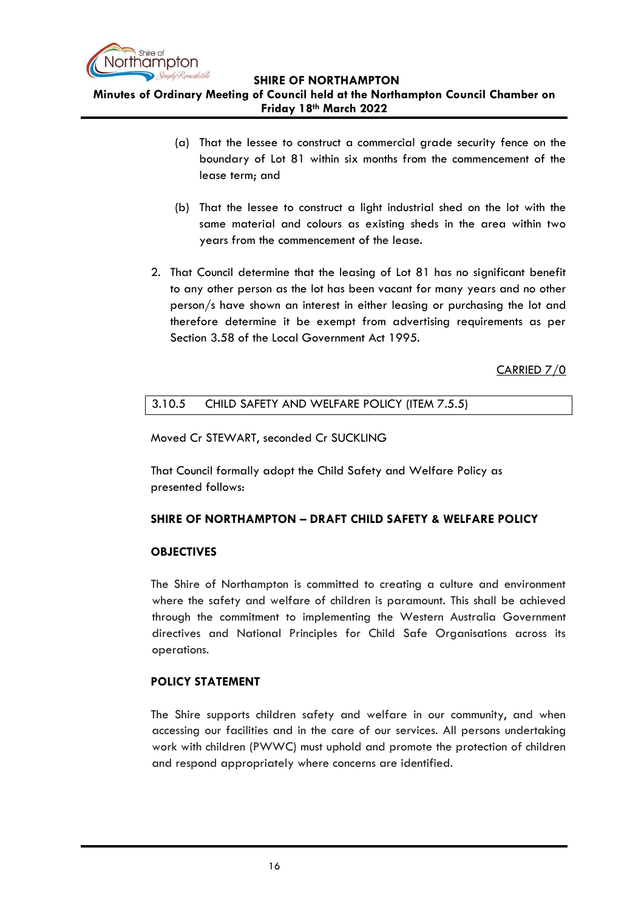

**Minutes of Ordinary Meeting of Council held at the Northampton Council Chamber on Friday 18th March 2022**

- (a) That the lessee to construct a commercial grade security fence on the boundary of Lot 81 within six months from the commencement of the lease term; and
- (b) That the lessee to construct a light industrial shed on the lot with the same material and colours as existing sheds in the area within two years from the commencement of the lease.
- 2. That Council determine that the leasing of Lot 81 has no significant benefit to any other person as the lot has been vacant for many years and no other person/s have shown an interest in either leasing or purchasing the lot and therefore determine it be exempt from advertising requirements as per Section 3.58 of the Local Government Act 1995.

CARRIED 7/0

# <span id="page-15-0"></span>3.10.5 CHILD SAFETY AND WELFARE POLICY (ITEM 7.5.5)

Moved Cr STEWART, seconded Cr SUCKLING

That Council formally adopt the Child Safety and Welfare Policy as presented follows:

# **SHIRE OF NORTHAMPTON – DRAFT CHILD SAFETY & WELFARE POLICY**

#### **OBJECTIVES**

The Shire of Northampton is committed to creating a culture and environment where the safety and welfare of children is paramount. This shall be achieved through the commitment to implementing the Western Australia Government directives and National Principles for Child Safe Organisations across its operations.

# **POLICY STATEMENT**

The Shire supports children safety and welfare in our community, and when accessing our facilities and in the care of our services. All persons undertaking work with children (PWWC) must uphold and promote the protection of children and respond appropriately where concerns are identified.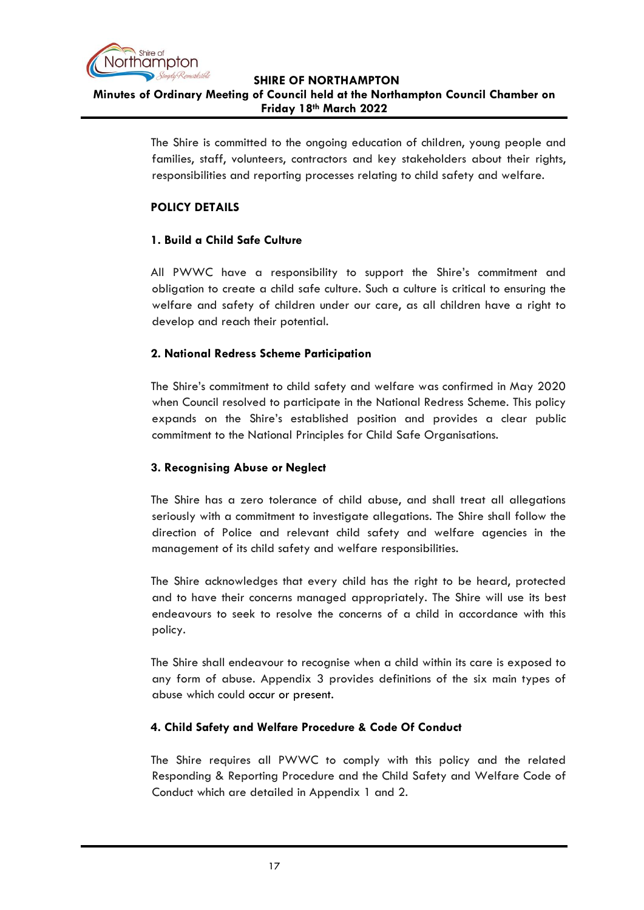

# **SHIRE OF NORTHAMPTON Minutes of Ordinary Meeting of Council held at the Northampton Council Chamber on Friday 18th March 2022**

The Shire is committed to the ongoing education of children, young people and families, staff, volunteers, contractors and key stakeholders about their rights, responsibilities and reporting processes relating to child safety and welfare.

# **POLICY DETAILS**

# **1. Build a Child Safe Culture**

All PWWC have a responsibility to support the Shire's commitment and obligation to create a child safe culture. Such a culture is critical to ensuring the welfare and safety of children under our care, as all children have a right to develop and reach their potential.

# **2. National Redress Scheme Participation**

The Shire's commitment to child safety and welfare was confirmed in May 2020 when Council resolved to participate in the National Redress Scheme. This policy expands on the Shire's established position and provides a clear public commitment to the National Principles for Child Safe Organisations.

# **3. Recognising Abuse or Neglect**

The Shire has a zero tolerance of child abuse, and shall treat all allegations seriously with a commitment to investigate allegations. The Shire shall follow the direction of Police and relevant child safety and welfare agencies in the management of its child safety and welfare responsibilities.

The Shire acknowledges that every child has the right to be heard, protected and to have their concerns managed appropriately. The Shire will use its best endeavours to seek to resolve the concerns of a child in accordance with this policy.

The Shire shall endeavour to recognise when a child within its care is exposed to any form of abuse. Appendix 3 provides definitions of the six main types of abuse which could occur or present.

# **4. Child Safety and Welfare Procedure & Code Of Conduct**

The Shire requires all PWWC to comply with this policy and the related Responding & Reporting Procedure and the Child Safety and Welfare Code of Conduct which are detailed in Appendix 1 and 2.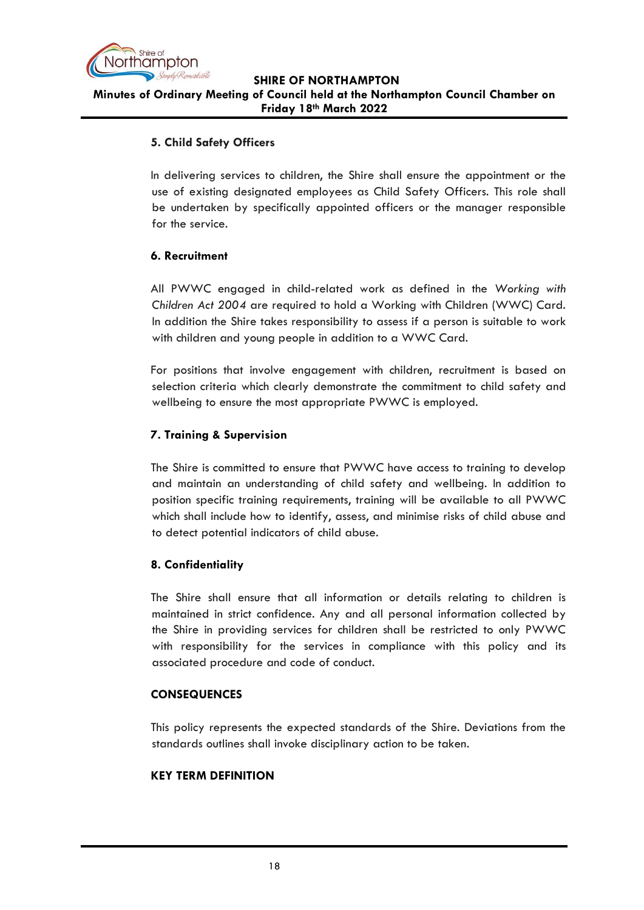

# **5. Child Safety Officers**

In delivering services to children, the Shire shall ensure the appointment or the use of existing designated employees as Child Safety Officers. This role shall be undertaken by specifically appointed officers or the manager responsible for the service.

# **6. Recruitment**

All PWWC engaged in child-related work as defined in the *Working with Children Act 2004* are required to hold a Working with Children (WWC) Card. In addition the Shire takes responsibility to assess if a person is suitable to work with children and young people in addition to a WWC Card.

For positions that involve engagement with children, recruitment is based on selection criteria which clearly demonstrate the commitment to child safety and wellbeing to ensure the most appropriate PWWC is employed.

# **7. Training & Supervision**

The Shire is committed to ensure that PWWC have access to training to develop and maintain an understanding of child safety and wellbeing. In addition to position specific training requirements, training will be available to all PWWC which shall include how to identify, assess, and minimise risks of child abuse and to detect potential indicators of child abuse.

# **8. Confidentiality**

The Shire shall ensure that all information or details relating to children is maintained in strict confidence. Any and all personal information collected by the Shire in providing services for children shall be restricted to only PWWC with responsibility for the services in compliance with this policy and its associated procedure and code of conduct.

# **CONSEQUENCES**

This policy represents the expected standards of the Shire. Deviations from the standards outlines shall invoke disciplinary action to be taken.

# **KEY TERM DEFINITION**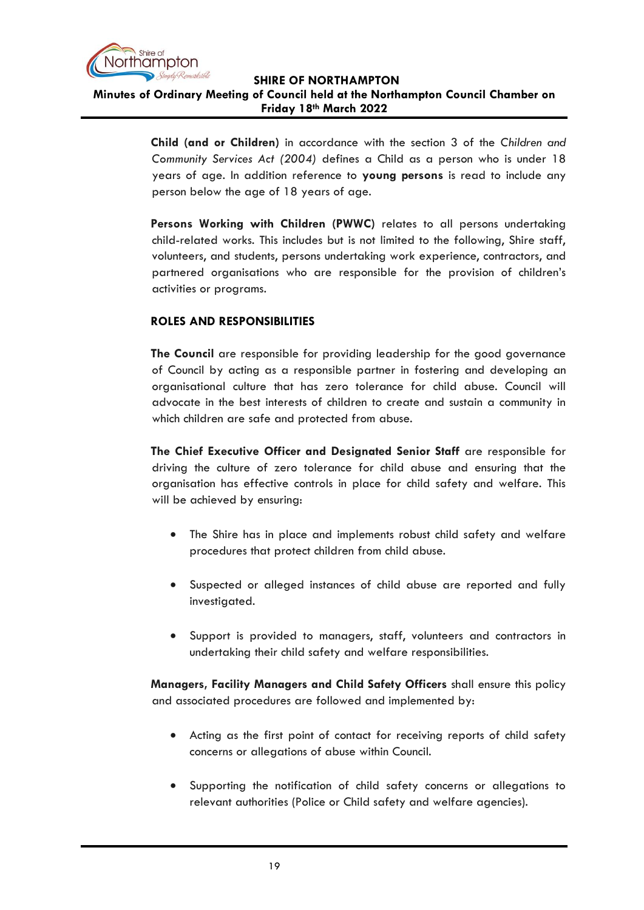

# **Minutes of Ordinary Meeting of Council held at the Northampton Council Chamber on Friday 18th March 2022**

**Child (and or Children)** in accordance with the section 3 of the *Children and Community Services Act (2004)* defines a Child as a person who is under 18 years of age. In addition reference to **young persons** is read to include any person below the age of 18 years of age.

**Persons Working with Children (PWWC)** relates to all persons undertaking child-related works. This includes but is not limited to the following, Shire staff, volunteers, and students, persons undertaking work experience, contractors, and partnered organisations who are responsible for the provision of children's activities or programs.

# **ROLES AND RESPONSIBILITIES**

**The Council** are responsible for providing leadership for the good governance of Council by acting as a responsible partner in fostering and developing an organisational culture that has zero tolerance for child abuse. Council will advocate in the best interests of children to create and sustain a community in which children are safe and protected from abuse.

**The Chief Executive Officer and Designated Senior Staff** are responsible for driving the culture of zero tolerance for child abuse and ensuring that the organisation has effective controls in place for child safety and welfare. This will be achieved by ensuring:

- The Shire has in place and implements robust child safety and welfare procedures that protect children from child abuse.
- Suspected or alleged instances of child abuse are reported and fully investigated.
- Support is provided to managers, staff, volunteers and contractors in undertaking their child safety and welfare responsibilities.

**Managers, Facility Managers and Child Safety Officers** shall ensure this policy and associated procedures are followed and implemented by:

- Acting as the first point of contact for receiving reports of child safety concerns or allegations of abuse within Council.
- Supporting the notification of child safety concerns or allegations to relevant authorities (Police or Child safety and welfare agencies).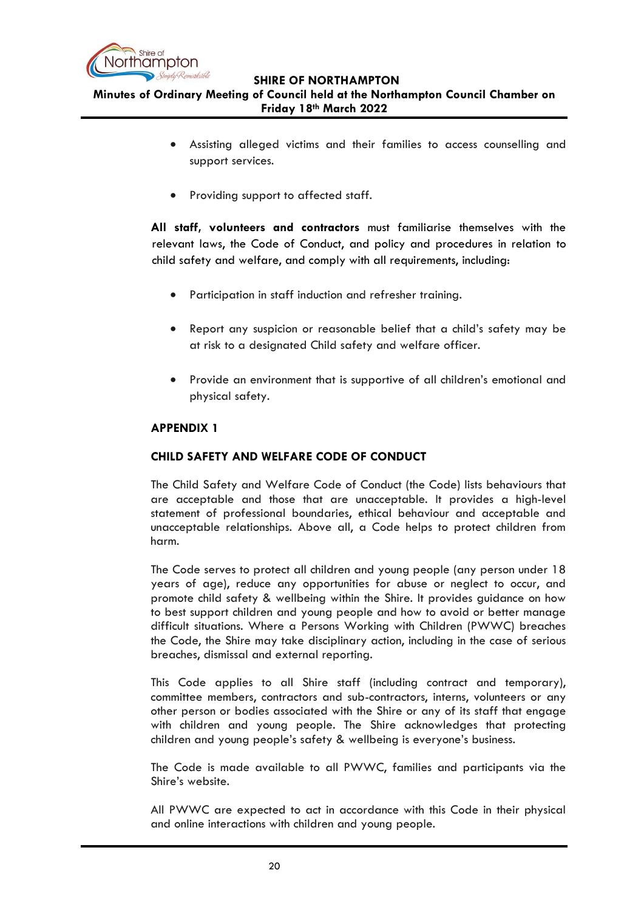

**Minutes of Ordinary Meeting of Council held at the Northampton Council Chamber on Friday 18th March 2022**

- Assisting alleged victims and their families to access counselling and support services.
- Providing support to affected staff.

**All staff, volunteers and contractors** must familiarise themselves with the relevant laws, the Code of Conduct, and policy and procedures in relation to child safety and welfare, and comply with all requirements, including:

- Participation in staff induction and refresher training.
- Report any suspicion or reasonable belief that a child's safety may be at risk to a designated Child safety and welfare officer.
- Provide an environment that is supportive of all children's emotional and physical safety.

# **APPENDIX 1**

# **CHILD SAFETY AND WELFARE CODE OF CONDUCT**

The Child Safety and Welfare Code of Conduct (the Code) lists behaviours that are acceptable and those that are unacceptable. It provides a high-level statement of professional boundaries, ethical behaviour and acceptable and unacceptable relationships. Above all, a Code helps to protect children from harm.

The Code serves to protect all children and young people (any person under 18 years of age), reduce any opportunities for abuse or neglect to occur, and promote child safety & wellbeing within the Shire. It provides guidance on how to best support children and young people and how to avoid or better manage difficult situations. Where a Persons Working with Children (PWWC) breaches the Code, the Shire may take disciplinary action, including in the case of serious breaches, dismissal and external reporting.

This Code applies to all Shire staff (including contract and temporary), committee members, contractors and sub-contractors, interns, volunteers or any other person or bodies associated with the Shire or any of its staff that engage with children and young people. The Shire acknowledges that protecting children and young people's safety & wellbeing is everyone's business.

The Code is made available to all PWWC, families and participants via the Shire's website.

All PWWC are expected to act in accordance with this Code in their physical and online interactions with children and young people.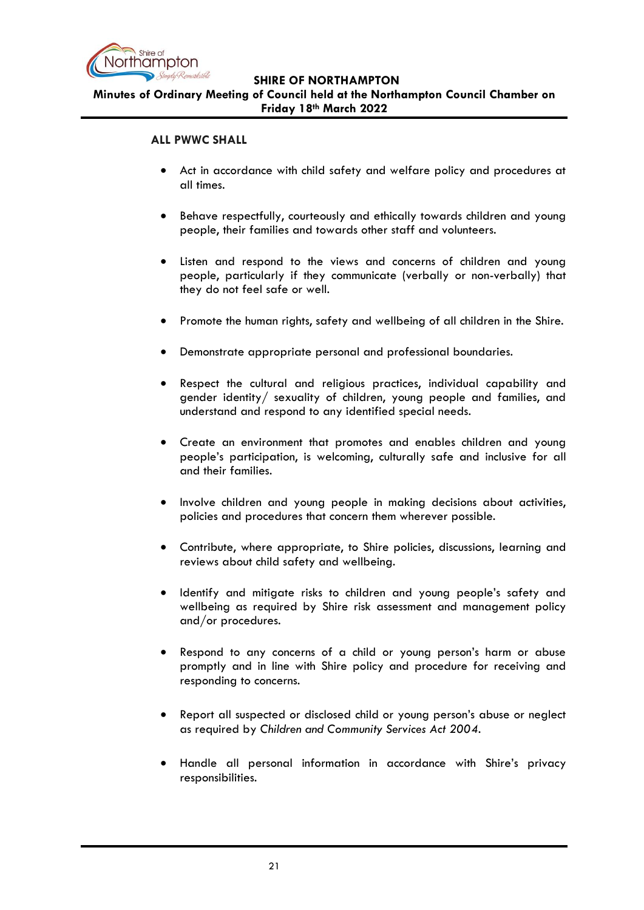

**Minutes of Ordinary Meeting of Council held at the Northampton Council Chamber on Friday 18th March 2022**

## **ALL PWWC SHALL**

- Act in accordance with child safety and welfare policy and procedures at all times.
- Behave respectfully, courteously and ethically towards children and young people, their families and towards other staff and volunteers.
- Listen and respond to the views and concerns of children and young people, particularly if they communicate (verbally or non-verbally) that they do not feel safe or well.
- Promote the human rights, safety and wellbeing of all children in the Shire.
- Demonstrate appropriate personal and professional boundaries.
- Respect the cultural and religious practices, individual capability and gender identity/ sexuality of children, young people and families, and understand and respond to any identified special needs.
- Create an environment that promotes and enables children and young people's participation, is welcoming, culturally safe and inclusive for all and their families.
- Involve children and young people in making decisions about activities, policies and procedures that concern them wherever possible.
- Contribute, where appropriate, to Shire policies, discussions, learning and reviews about child safety and wellbeing.
- Identify and mitigate risks to children and young people's safety and wellbeing as required by Shire risk assessment and management policy and/or procedures.
- Respond to any concerns of a child or young person's harm or abuse promptly and in line with Shire policy and procedure for receiving and responding to concerns.
- Report all suspected or disclosed child or young person's abuse or neglect as required by *Children and Community Services Act 2004.*
- Handle all personal information in accordance with Shire's privacy responsibilities.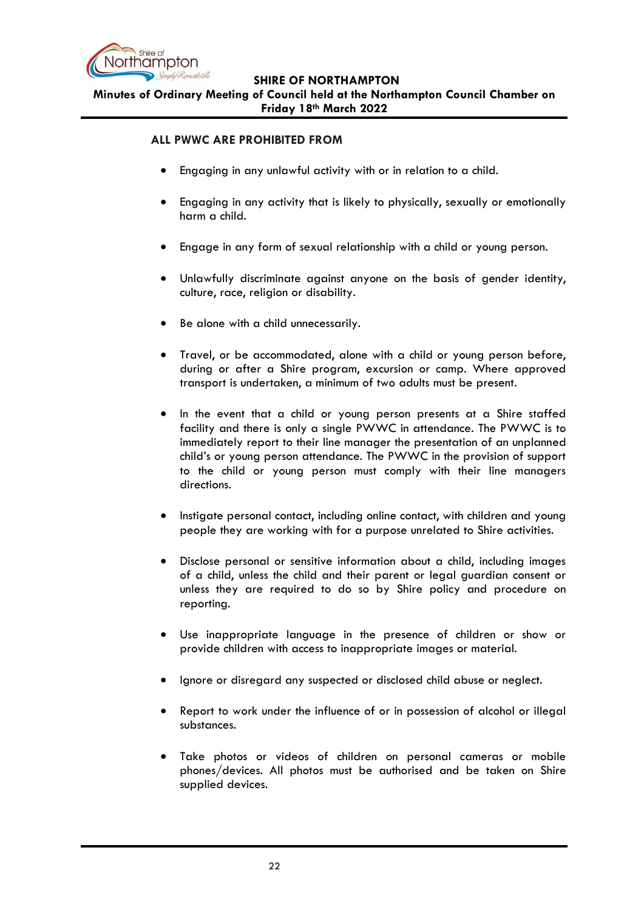

**Minutes of Ordinary Meeting of Council held at the Northampton Council Chamber on Friday 18th March 2022**

## **ALL PWWC ARE PROHIBITED FROM**

- Engaging in any unlawful activity with or in relation to a child.
- Engaging in any activity that is likely to physically, sexually or emotionally harm a child.
- Engage in any form of sexual relationship with a child or young person.
- Unlawfully discriminate against anyone on the basis of gender identity, culture, race, religion or disability.
- Be alone with a child unnecessarily.
- Travel, or be accommodated, alone with a child or young person before, during or after a Shire program, excursion or camp. Where approved transport is undertaken, a minimum of two adults must be present.
- In the event that a child or young person presents at a Shire staffed facility and there is only a single PWWC in attendance. The PWWC is to immediately report to their line manager the presentation of an unplanned child's or young person attendance. The PWWC in the provision of support to the child or young person must comply with their line managers directions.
- Instigate personal contact, including online contact, with children and young people they are working with for a purpose unrelated to Shire activities.
- Disclose personal or sensitive information about a child, including images of a child, unless the child and their parent or legal guardian consent or unless they are required to do so by Shire policy and procedure on reporting.
- Use inappropriate language in the presence of children or show or provide children with access to inappropriate images or material.
- Ignore or disregard any suspected or disclosed child abuse or neglect.
- Report to work under the influence of or in possession of alcohol or illegal substances.
- Take photos or videos of children on personal cameras or mobile phones/devices. All photos must be authorised and be taken on Shire supplied devices.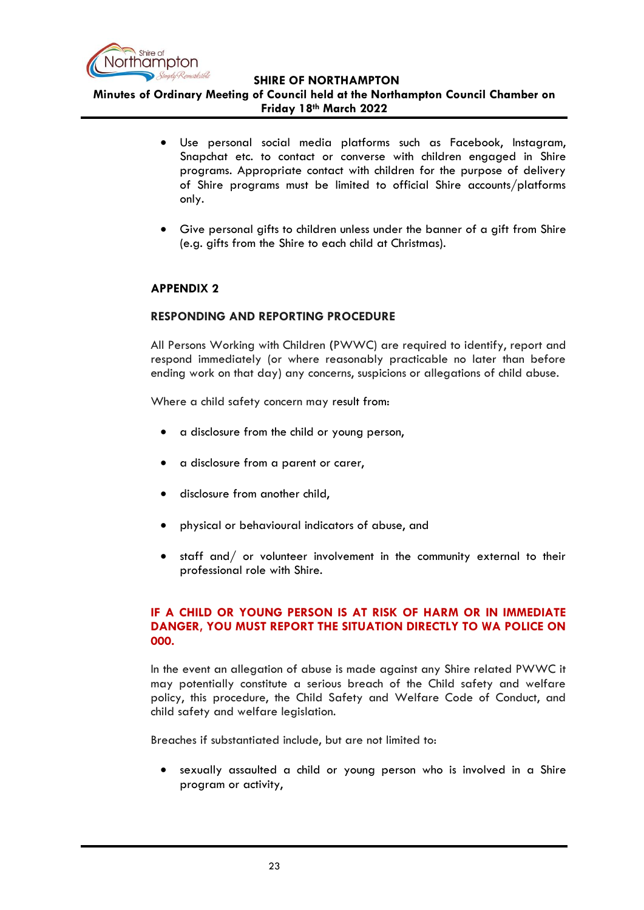

**Minutes of Ordinary Meeting of Council held at the Northampton Council Chamber on Friday 18th March 2022**

- Use personal social media platforms such as Facebook, Instagram, Snapchat etc. to contact or converse with children engaged in Shire programs. Appropriate contact with children for the purpose of delivery of Shire programs must be limited to official Shire accounts/platforms only.
- Give personal gifts to children unless under the banner of a gift from Shire (e.g. gifts from the Shire to each child at Christmas).

# **APPENDIX 2**

# **RESPONDING AND REPORTING PROCEDURE**

All Persons Working with Children **(**PWWC) are required to identify, report and respond immediately (or where reasonably practicable no later than before ending work on that day) any concerns, suspicions or allegations of child abuse.

Where a child safety concern may result from:

- a disclosure from the child or young person,
- a disclosure from a parent or carer,
- disclosure from another child,
- physical or behavioural indicators of abuse, and
- staff and/ or volunteer involvement in the community external to their professional role with Shire.

# **IF A CHILD OR YOUNG PERSON IS AT RISK OF HARM OR IN IMMEDIATE DANGER, YOU MUST REPORT THE SITUATION DIRECTLY TO WA POLICE ON 000.**

In the event an allegation of abuse is made against any Shire related PWWC it may potentially constitute a serious breach of the Child safety and welfare policy, this procedure, the Child Safety and Welfare Code of Conduct, and child safety and welfare legislation.

Breaches if substantiated include, but are not limited to:

• sexually assaulted a child or young person who is involved in a Shire program or activity,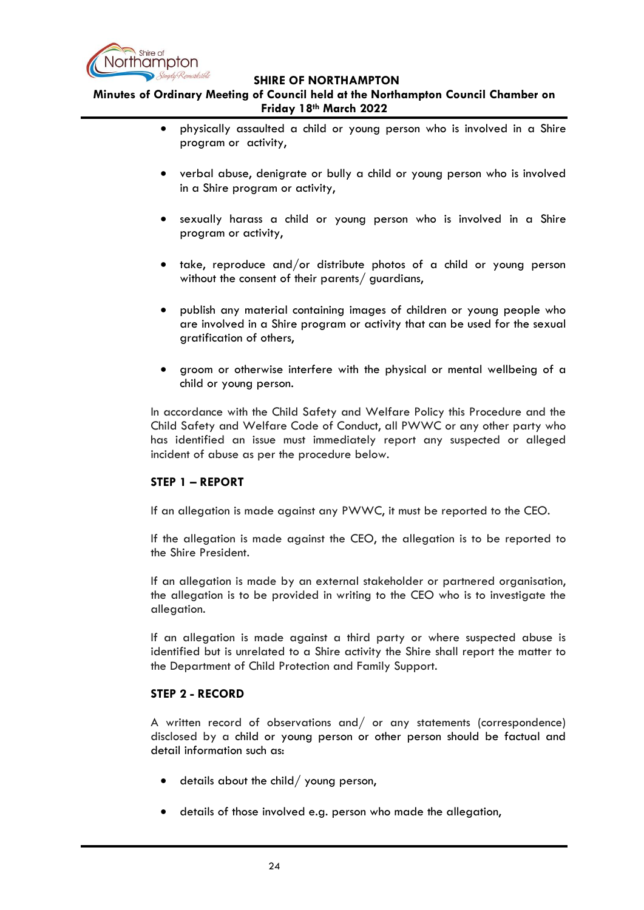

**Minutes of Ordinary Meeting of Council held at the Northampton Council Chamber on Friday 18th March 2022**

- physically assaulted a child or young person who is involved in a Shire program or activity,
- verbal abuse, denigrate or bully a child or young person who is involved in a Shire program or activity,
- sexually harass a child or young person who is involved in a Shire program or activity,
- take, reproduce and/or distribute photos of a child or young person without the consent of their parents/ guardians,
- publish any material containing images of children or young people who are involved in a Shire program or activity that can be used for the sexual gratification of others,
- groom or otherwise interfere with the physical or mental wellbeing of a child or young person.

In accordance with the Child Safety and Welfare Policy this Procedure and the Child Safety and Welfare Code of Conduct, all PWWC or any other party who has identified an issue must immediately report any suspected or alleged incident of abuse as per the procedure below.

# **STEP 1 – REPORT**

If an allegation is made against any PWWC, it must be reported to the CEO.

If the allegation is made against the CEO, the allegation is to be reported to the Shire President.

If an allegation is made by an external stakeholder or partnered organisation, the allegation is to be provided in writing to the CEO who is to investigate the allegation.

If an allegation is made against a third party or where suspected abuse is identified but is unrelated to a Shire activity the Shire shall report the matter to the Department of Child Protection and Family Support.

# **STEP 2 - RECORD**

A written record of observations and/ or any statements (correspondence) disclosed by a child or young person or other person should be factual and detail information such as:

- details about the child/ young person,
- details of those involved e.g. person who made the allegation,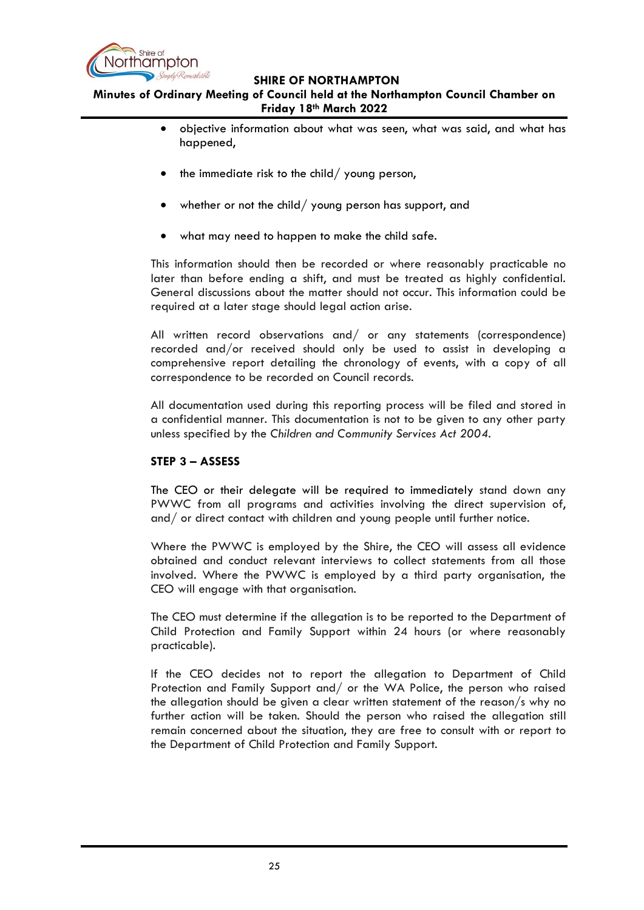

# **Minutes of Ordinary Meeting of Council held at the Northampton Council Chamber on Friday 18th March 2022**

- objective information about what was seen, what was said, and what has happened,
- $\bullet$  the immediate risk to the child/ young person,
- whether or not the child/ young person has support, and
- what may need to happen to make the child safe.

This information should then be recorded or where reasonably practicable no later than before ending a shift, and must be treated as highly confidential. General discussions about the matter should not occur. This information could be required at a later stage should legal action arise.

All written record observations and/ or any statements (correspondence) recorded and/or received should only be used to assist in developing a comprehensive report detailing the chronology of events, with a copy of all correspondence to be recorded on Council records.

All documentation used during this reporting process will be filed and stored in a confidential manner. This documentation is not to be given to any other party unless specified by the *Children and Community Services Act 2004*.

## **STEP 3 – ASSESS**

The CEO or their delegate will be required to immediately stand down any PWWC from all programs and activities involving the direct supervision of, and/ or direct contact with children and young people until further notice.

Where the PWWC is employed by the Shire, the CEO will assess all evidence obtained and conduct relevant interviews to collect statements from all those involved. Where the PWWC is employed by a third party organisation, the CEO will engage with that organisation.

The CEO must determine if the allegation is to be reported to the Department of Child Protection and Family Support within 24 hours (or where reasonably practicable).

If the CEO decides not to report the allegation to Department of Child Protection and Family Support and/ or the WA Police, the person who raised the allegation should be given a clear written statement of the reason/s why no further action will be taken. Should the person who raised the allegation still remain concerned about the situation, they are free to consult with or report to the Department of Child Protection and Family Support.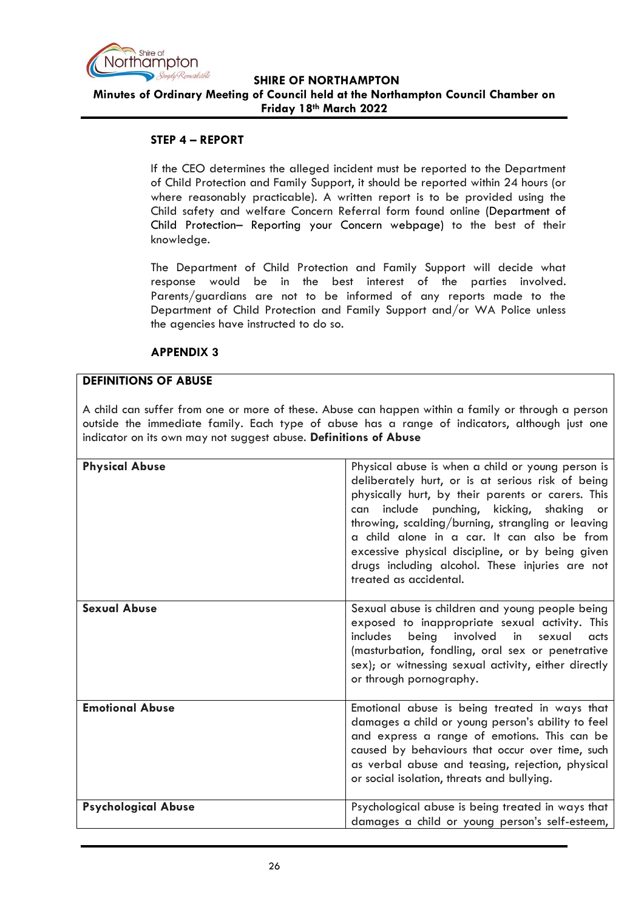

# **SHIRE OF NORTHAMPTON Minutes of Ordinary Meeting of Council held at the Northampton Council Chamber on Friday 18th March 2022**

# **STEP 4 – REPORT**

If the CEO determines the alleged incident must be reported to the Department of Child Protection and Family Support, it should be reported within 24 hours (or where reasonably practicable). A written report is to be provided using the Child safety and welfare Concern Referral form found online (Department of Child Protection– Reporting your Concern webpage) to the best of their knowledge.

The Department of Child Protection and Family Support will decide what response would be in the best interest of the parties involved. Parents/guardians are not to be informed of any reports made to the Department of Child Protection and Family Support and/or WA Police unless the agencies have instructed to do so.

#### **APPENDIX 3**

# **DEFINITIONS OF ABUSE**

A child can suffer from one or more of these. Abuse can happen within a family or through a person outside the immediate family. Each type of abuse has a range of indicators, although just one indicator on its own may not suggest abuse. **Definitions of Abuse** 

| <b>Physical Abuse</b>      | Physical abuse is when a child or young person is<br>deliberately hurt, or is at serious risk of being<br>physically hurt, by their parents or carers. This<br>include punching, kicking, shaking<br>can<br>- or<br>throwing, scalding/burning, strangling or leaving<br>a child alone in a car. It can also be from<br>excessive physical discipline, or by being given<br>drugs including alcohol. These injuries are not<br>treated as accidental. |
|----------------------------|-------------------------------------------------------------------------------------------------------------------------------------------------------------------------------------------------------------------------------------------------------------------------------------------------------------------------------------------------------------------------------------------------------------------------------------------------------|
| <b>Sexual Abuse</b>        | Sexual abuse is children and young people being<br>exposed to inappropriate sexual activity. This<br>involved in sexual<br>includes<br>being<br>acts<br>(masturbation, fondling, oral sex or penetrative<br>sex); or witnessing sexual activity, either directly<br>or through pornography.                                                                                                                                                           |
| <b>Emotional Abuse</b>     | Emotional abuse is being treated in ways that<br>damages a child or young person's ability to feel<br>and express a range of emotions. This can be<br>caused by behaviours that occur over time, such<br>as verbal abuse and teasing, rejection, physical<br>or social isolation, threats and bullying.                                                                                                                                               |
| <b>Psychological Abuse</b> | Psychological abuse is being treated in ways that<br>damages a child or young person's self-esteem,                                                                                                                                                                                                                                                                                                                                                   |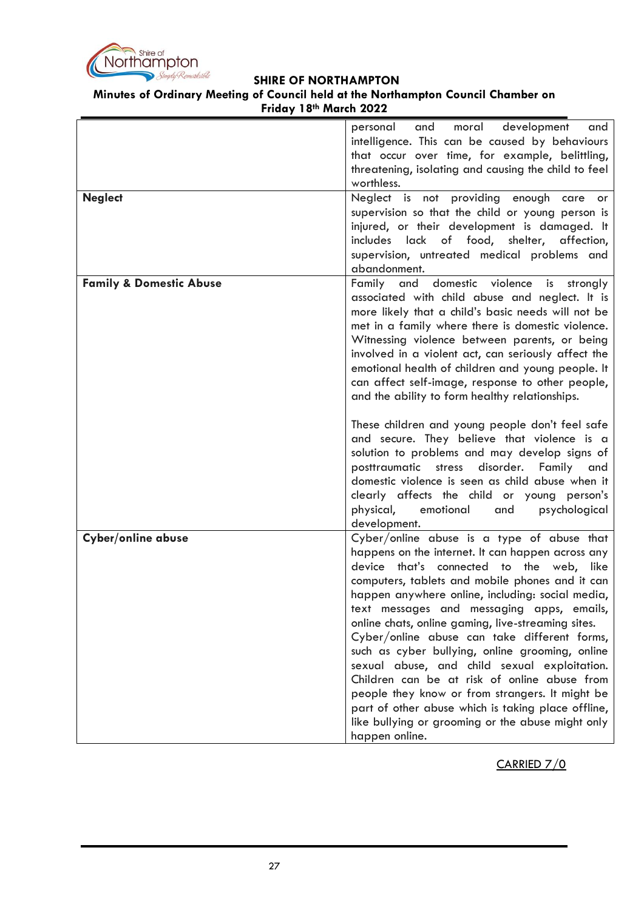

#### **Minutes of Ordinary Meeting of Council held at the Northampton Council Chamber on Friday 18th March 2022**

|                                    | development<br>personal<br>and<br>moral<br>and<br>intelligence. This can be caused by behaviours<br>that occur over time, for example, belittling,<br>threatening, isolating and causing the child to feel<br>worthless.                                                                                                                                                                                                                                                                                                                                                                                                                                                                                                                 |
|------------------------------------|------------------------------------------------------------------------------------------------------------------------------------------------------------------------------------------------------------------------------------------------------------------------------------------------------------------------------------------------------------------------------------------------------------------------------------------------------------------------------------------------------------------------------------------------------------------------------------------------------------------------------------------------------------------------------------------------------------------------------------------|
| <b>Neglect</b>                     | Neglect is not providing enough care or<br>supervision so that the child or young person is<br>injured, or their development is damaged. It<br>includes lack of food, shelter, affection,<br>supervision, untreated medical problems and<br>abandonment.                                                                                                                                                                                                                                                                                                                                                                                                                                                                                 |
| <b>Family &amp; Domestic Abuse</b> | Family and domestic violence is strongly<br>associated with child abuse and neglect. It is<br>more likely that a child's basic needs will not be<br>met in a family where there is domestic violence.<br>Witnessing violence between parents, or being<br>involved in a violent act, can seriously affect the<br>emotional health of children and young people. It<br>can affect self-image, response to other people,<br>and the ability to form healthy relationships.<br>These children and young people don't feel safe                                                                                                                                                                                                              |
|                                    | and secure. They believe that violence is a<br>solution to problems and may develop signs of<br>posttraumatic<br>disorder. Family<br>stress<br>and<br>domestic violence is seen as child abuse when it<br>clearly affects the child or young person's<br>physical,<br>emotional<br>and<br>psychological<br>development.                                                                                                                                                                                                                                                                                                                                                                                                                  |
| Cyber/online abuse                 | Cyber/online abuse is a type of abuse that<br>happens on the internet. It can happen across any<br>device that's connected to the web, like<br>computers, tablets and mobile phones and it can<br>happen anywhere online, including: social media,<br>text messages and messaging apps, emails,<br>online chats, online gaming, live-streaming sites.<br>Cyber/online abuse can take different forms,<br>such as cyber bullying, online grooming, online<br>sexual abuse, and child sexual exploitation.<br>Children can be at risk of online abuse from<br>people they know or from strangers. It might be<br>part of other abuse which is taking place offline,<br>like bullying or grooming or the abuse might only<br>happen online. |

CARRIED 7/0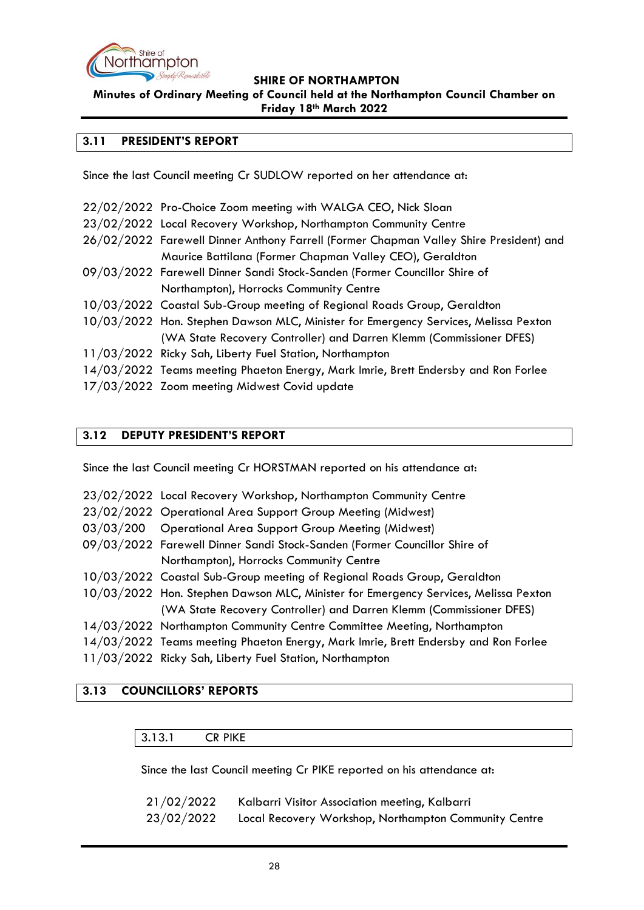

**Minutes of Ordinary Meeting of Council held at the Northampton Council Chamber on Friday 18th March 2022**

# <span id="page-27-0"></span>**3.11 PRESIDENT'S REPORT**

Since the last Council meeting Cr SUDLOW reported on her attendance at:

| 22/02/2022 Pro-Choice Zoom meeting with WALGA CEO, Nick Sloan                          |
|----------------------------------------------------------------------------------------|
| 23/02/2022 Local Recovery Workshop, Northampton Community Centre                       |
| 26/02/2022 Farewell Dinner Anthony Farrell (Former Chapman Valley Shire President) and |
| Maurice Battilana (Former Chapman Valley CEO), Geraldton                               |
| 09/03/2022 Farewell Dinner Sandi Stock-Sanden (Former Councillor Shire of              |
| Northampton), Horrocks Community Centre                                                |
| 10/03/2022 Coastal Sub-Group meeting of Regional Roads Group, Geraldton                |
| 10/03/2022 Hon. Stephen Dawson MLC, Minister for Emergency Services, Melissa Pexton    |
| (WA State Recovery Controller) and Darren Klemm (Commissioner DFES)                    |
| 11/03/2022 Ricky Sah, Liberty Fuel Station, Northampton                                |
| 14/03/2022 Teams meeting Phaeton Energy, Mark Imrie, Brett Endersby and Ron Forlee     |
| 17/03/2022 Zoom meeting Midwest Covid update                                           |

# <span id="page-27-1"></span>**3.12 DEPUTY PRESIDENT'S REPORT**

Since the last Council meeting Cr HORSTMAN reported on his attendance at:

| 23/02/2022 Local Recovery Workshop, Northampton Community Centre                    |
|-------------------------------------------------------------------------------------|
| 23/02/2022 Operational Area Support Group Meeting (Midwest)                         |
| 03/03/200 Operational Area Support Group Meeting (Midwest)                          |
| 09/03/2022 Farewell Dinner Sandi Stock-Sanden (Former Councillor Shire of           |
| Northampton), Horrocks Community Centre                                             |
| 10/03/2022 Coastal Sub-Group meeting of Regional Roads Group, Geraldton             |
| 10/03/2022 Hon. Stephen Dawson MLC, Minister for Emergency Services, Melissa Pexton |
| (WA State Recovery Controller) and Darren Klemm (Commissioner DFES)                 |
| 14/03/2022 Northampton Community Centre Committee Meeting, Northampton              |
| 14/03/2022 Teams meeting Phaeton Energy, Mark Imrie, Brett Endersby and Ron Forlee  |
| $11 (00 (0000001) - 01 111 - 01 1011)$                                              |

11/03/2022 Ricky Sah, Liberty Fuel Station, Northampton

# <span id="page-27-3"></span><span id="page-27-2"></span>**3.13 COUNCILLORS' REPORTS**

#### 3.13.1 CR PIKE

Since the last Council meeting Cr PIKE reported on his attendance at:

| 21/02/2022 | Kalbarri Visitor Association meeting, Kalbarri        |
|------------|-------------------------------------------------------|
| 23/02/2022 | Local Recovery Workshop, Northampton Community Centre |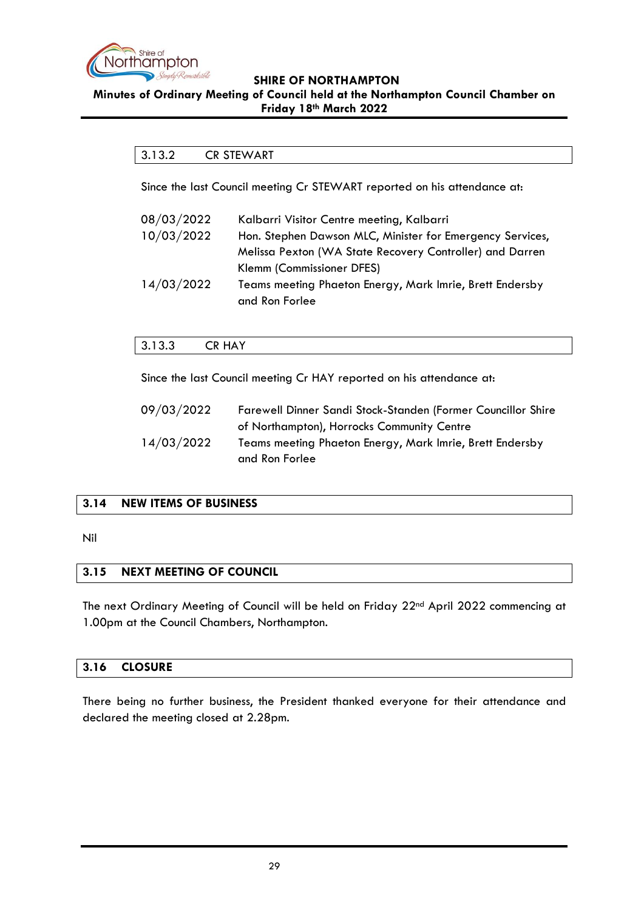

#### <span id="page-28-0"></span>**Minutes of Ordinary Meeting of Council held at the Northampton Council Chamber on Friday 18th March 2022**

# 3.13.2 CR STEWART

Since the last Council meeting Cr STEWART reported on his attendance at:

| 08/03/2022 | Kalbarri Visitor Centre meeting, Kalbarri                 |
|------------|-----------------------------------------------------------|
| 10/03/2022 | Hon. Stephen Dawson MLC, Minister for Emergency Services, |
|            | Melissa Pexton (WA State Recovery Controller) and Darren  |
|            | Klemm (Commissioner DFES)                                 |
| 14/03/2022 | Teams meeting Phaeton Energy, Mark Imrie, Brett Endersby  |
|            | and Ron Forlee                                            |

# <span id="page-28-1"></span>3.13.3 CR HAY

Since the last Council meeting Cr HAY reported on his attendance at:

| 09/03/2022 | Farewell Dinner Sandi Stock-Standen (Former Councillor Shire |
|------------|--------------------------------------------------------------|
|            | of Northampton), Horrocks Community Centre                   |
| 14/03/2022 | Teams meeting Phaeton Energy, Mark Imrie, Brett Endersby     |
|            | and Ron Forlee                                               |

# <span id="page-28-2"></span>**3.14 NEW ITEMS OF BUSINESS**

Nil

# <span id="page-28-3"></span>**3.15 NEXT MEETING OF COUNCIL**

The next Ordinary Meeting of Council will be held on Friday 22nd April 2022 commencing at 1.00pm at the Council Chambers, Northampton.

# <span id="page-28-4"></span>**3.16 CLOSURE**

There being no further business, the President thanked everyone for their attendance and declared the meeting closed at 2.28pm.